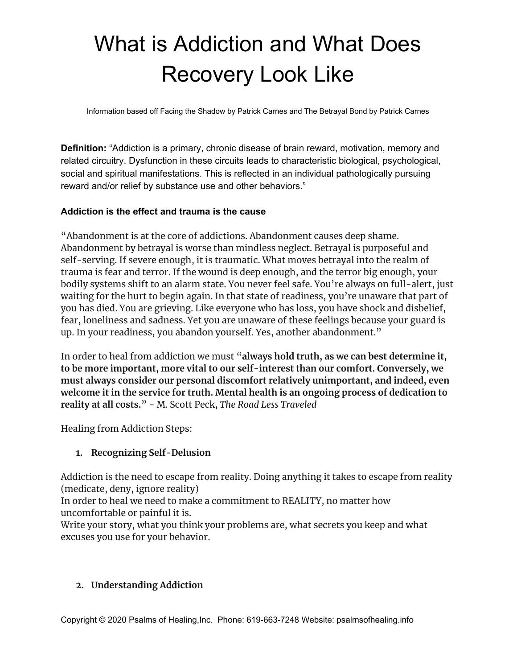# What is Addiction and What Does Recovery Look Like

Information based off Facing the Shadow by Patrick Carnes and The Betrayal Bond by Patrick Carnes

**Definition:** "Addiction is a primary, chronic disease of brain reward, motivation, memory and related circuitry. Dysfunction in these circuits leads to characteristic biological, psychological, social and spiritual manifestations. This is reflected in an individual pathologically pursuing reward and/or relief by substance use and other behaviors."

#### **Addiction is the effect and trauma is the cause**

"Abandonment is at the core of addictions. Abandonment causes deep shame. Abandonment by betrayal is worse than mindless neglect. Betrayal is purposeful and self-serving. If severe enough, it is traumatic. What moves betrayal into the realm of trauma is fear and terror. If the wound is deep enough, and the terror big enough, your bodily systems shift to an alarm state. You never feel safe. You're always on full-alert, just waiting for the hurt to begin again. In that state of readiness, you're unaware that part of you has died. You are grieving. Like everyone who has loss, you have shock and disbelief, fear, loneliness and sadness. Yet you are unaware of these feelings because your guard is up. In your readiness, you abandon yourself. Yes, another abandonment."

In order to heal from addiction we must "**always hold truth, as we can best determine it, to be more important, more vital to our self-interest than our comfort. Conversely, we must always consider our personal discomfort relatively unimportant, and indeed, even welcome it in the service for truth. Mental health is an ongoing process of dedication to reality at all costs.**" - M. Scott Peck, *The Road Less Traveled*

Healing from Addiction Steps:

## **1. Recognizing Self-Delusion**

Addiction is the need to escape from reality. Doing anything it takes to escape from reality (medicate, deny, ignore reality)

In order to heal we need to make a commitment to REALITY, no matter how uncomfortable or painful it is.

Write your story, what you think your problems are, what secrets you keep and what excuses you use for your behavior.

## **2. Understanding Addiction**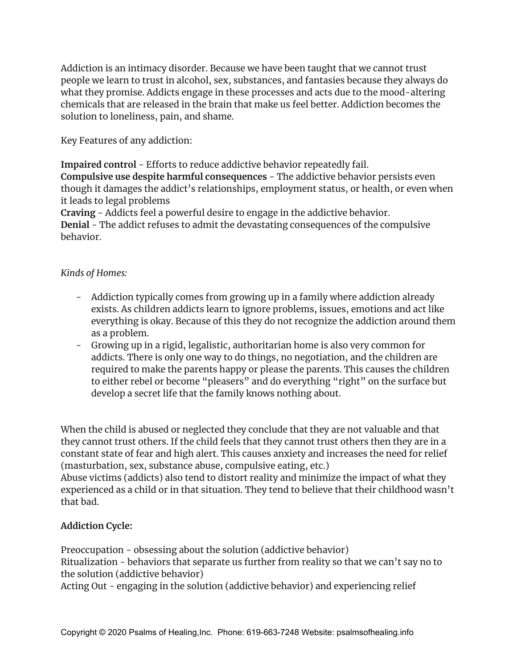Addiction is an intimacy disorder. Because we have been taught that we cannot trust people we learn to trust in alcohol, sex, substances, and fantasies because they always do what they promise. Addicts engage in these processes and acts due to the mood-altering chemicals that are released in the brain that make us feel better. Addiction becomes the solution to loneliness, pain, and shame.

Key Features of any addiction:

**Impaired control** - Efforts to reduce addictive behavior repeatedly fail. **Compulsive use despite harmful consequences** - The addictive behavior persists even

though it damages the addict's relationships, employment status, or health, or even when it leads to legal problems

**Craving** - Addicts feel a powerful desire to engage in the addictive behavior. **Denial** - The addict refuses to admit the devastating consequences of the compulsive behavior.

#### *Kinds of Homes:*

- Addiction typically comes from growing up in a family where addiction already exists. As children addicts learn to ignore problems, issues, emotions and act like everything is okay. Because of this they do not recognize the addiction around them as a problem.
- Growing up in a rigid, legalistic, authoritarian home is also very common for addicts. There is only one way to do things, no negotiation, and the children are required to make the parents happy or please the parents. This causes the children to either rebel or become "pleasers" and do everything "right" on the surface but develop a secret life that the family knows nothing about.

When the child is abused or neglected they conclude that they are not valuable and that they cannot trust others. If the child feels that they cannot trust others then they are in a constant state of fear and high alert. This causes anxiety and increases the need for relief (masturbation, sex, substance abuse, compulsive eating, etc.)

Abuse victims (addicts) also tend to distort reality and minimize the impact of what they experienced as a child or in that situation. They tend to believe that their childhood wasn't that bad.

## **Addiction Cycle:**

Preoccupation - obsessing about the solution (addictive behavior) Ritualization - behaviors that separate us further from reality so that we can't say no to the solution (addictive behavior)

Acting Out - engaging in the solution (addictive behavior) and experiencing relief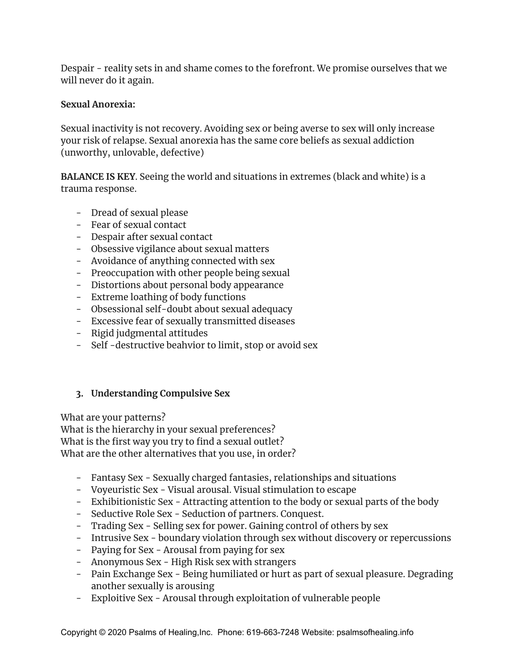Despair - reality sets in and shame comes to the forefront. We promise ourselves that we will never do it again.

#### **Sexual Anorexia:**

Sexual inactivity is not recovery. Avoiding sex or being averse to sex will only increase your risk of relapse. Sexual anorexia has the same core beliefs as sexual addiction (unworthy, unlovable, defective)

**BALANCE IS KEY**. Seeing the world and situations in extremes (black and white) is a trauma response.

- Dread of sexual please
- Fear of sexual contact
- Despair after sexual contact
- Obsessive vigilance about sexual matters
- Avoidance of anything connected with sex
- Preoccupation with other people being sexual
- Distortions about personal body appearance
- Extreme loathing of body functions
- Obsessional self-doubt about sexual adequacy
- Excessive fear of sexually transmitted diseases
- Rigid judgmental attitudes
- Self -destructive beahvior to limit, stop or avoid sex

## **3. Understanding Compulsive Sex**

What are your patterns?

What is the hierarchy in your sexual preferences? What is the first way you try to find a sexual outlet? What are the other alternatives that you use, in order?

- Fantasy Sex Sexually charged fantasies, relationships and situations
- Voyeuristic Sex Visual arousal. Visual stimulation to escape
- Exhibitionistic Sex Attracting attention to the body or sexual parts of the body
- Seductive Role Sex Seduction of partners. Conquest.
- Trading Sex Selling sex for power. Gaining control of others by sex
- Intrusive Sex boundary violation through sex without discovery or repercussions
- Paying for Sex Arousal from paying for sex
- Anonymous Sex High Risk sex with strangers
- Pain Exchange Sex Being humiliated or hurt as part of sexual pleasure. Degrading another sexually is arousing
- Exploitive Sex Arousal through exploitation of vulnerable people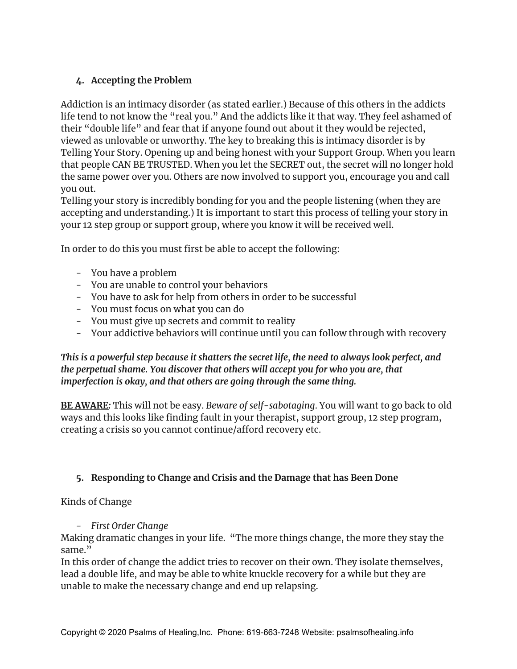## **4. Accepting the Problem**

Addiction is an intimacy disorder (as stated earlier.) Because of this others in the addicts life tend to not know the "real you." And the addicts like it that way. They feel ashamed of their "double life" and fear that if anyone found out about it they would be rejected, viewed as unlovable or unworthy. The key to breaking this is intimacy disorder is by Telling Your Story. Opening up and being honest with your Support Group. When you learn that people CAN BE TRUSTED. When you let the SECRET out, the secret will no longer hold the same power over you. Others are now involved to support you, encourage you and call you out.

Telling your story is incredibly bonding for you and the people listening (when they are accepting and understanding.) It is important to start this process of telling your story in your 12 step group or support group, where you know it will be received well.

In order to do this you must first be able to accept the following:

- You have a problem
- You are unable to control your behaviors
- You have to ask for help from others in order to be successful
- You must focus on what you can do
- You must give up secrets and commit to reality
- Your addictive behaviors will continue until you can follow through with recovery

*This is a powerful step because it shatters the secret life, the need to always look perfect, and the perpetual shame. You discover that others will accept you for who you are, that imperfection is okay, and that others are going through the same thing.*

**BE AWARE***:* This will not be easy. *Beware of self-sabotaging*. You will want to go back to old ways and this looks like finding fault in your therapist, support group, 12 step program, creating a crisis so you cannot continue/afford recovery etc.

# **5. Responding to Change and Crisis and the Damage that has Been Done**

Kinds of Change

## *- First Order Change*

Making dramatic changes in your life. "The more things change, the more they stay the same."

In this order of change the addict tries to recover on their own. They isolate themselves, lead a double life, and may be able to white knuckle recovery for a while but they are unable to make the necessary change and end up relapsing.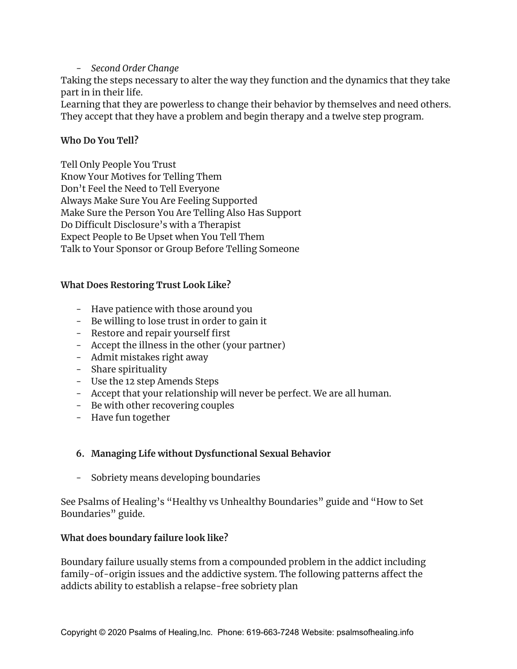#### *- Second Order Change*

Taking the steps necessary to alter the way they function and the dynamics that they take part in in their life.

Learning that they are powerless to change their behavior by themselves and need others. They accept that they have a problem and begin therapy and a twelve step program.

#### **Who Do You Tell?**

Tell Only People You Trust Know Your Motives for Telling Them Don't Feel the Need to Tell Everyone Always Make Sure You Are Feeling Supported Make Sure the Person You Are Telling Also Has Support Do Difficult Disclosure's with a Therapist Expect People to Be Upset when You Tell Them Talk to Your Sponsor or Group Before Telling Someone

#### **What Does Restoring Trust Look Like?**

- Have patience with those around you
- Be willing to lose trust in order to gain it
- Restore and repair yourself first
- Accept the illness in the other (your partner)
- Admit mistakes right away
- Share spirituality
- Use the 12 step Amends Steps
- Accept that your relationship will never be perfect. We are all human.
- Be with other recovering couples
- Have fun together

## **6. Managing Life without Dysfunctional Sexual Behavior**

- Sobriety means developing boundaries

See Psalms of Healing's "Healthy vs Unhealthy Boundaries" guide and "How to Set Boundaries" guide.

#### **What does boundary failure look like?**

Boundary failure usually stems from a compounded problem in the addict including family-of-origin issues and the addictive system. The following patterns affect the addicts ability to establish a relapse-free sobriety plan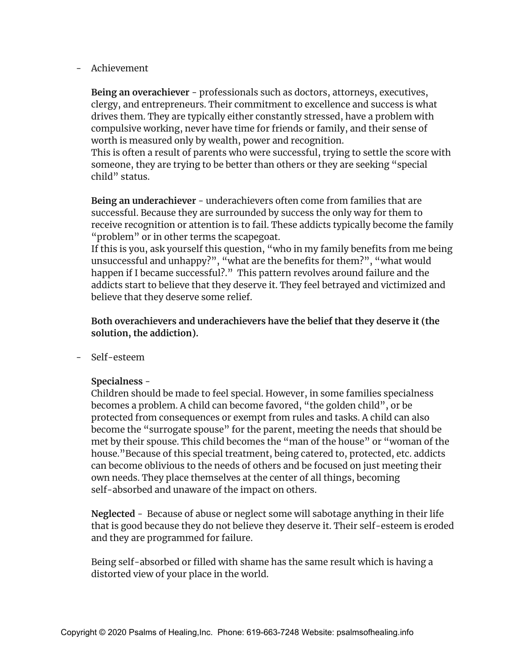- Achievement

**Being an overachiever** - professionals such as doctors, attorneys, executives, clergy, and entrepreneurs. Their commitment to excellence and success is what drives them. They are typically either constantly stressed, have a problem with compulsive working, never have time for friends or family, and their sense of worth is measured only by wealth, power and recognition.

This is often a result of parents who were successful, trying to settle the score with someone, they are trying to be better than others or they are seeking "special child" status.

**Being an underachiever** - underachievers often come from families that are successful. Because they are surrounded by success the only way for them to receive recognition or attention is to fail. These addicts typically become the family "problem" or in other terms the scapegoat.

If this is you, ask yourself this question, "who in my family benefits from me being unsuccessful and unhappy?", "what are the benefits for them?", "what would happen if I became successful?." This pattern revolves around failure and the addicts start to believe that they deserve it. They feel betrayed and victimized and believe that they deserve some relief.

**Both overachievers and underachievers have the belief that they deserve it (the solution, the addiction).**

- Self-esteem

#### **Specialness** -

Children should be made to feel special. However, in some families specialness becomes a problem. A child can become favored, "the golden child", or be protected from consequences or exempt from rules and tasks. A child can also become the "surrogate spouse" for the parent, meeting the needs that should be met by their spouse. This child becomes the "man of the house" or "woman of the house."Because of this special treatment, being catered to, protected, etc. addicts can become oblivious to the needs of others and be focused on just meeting their own needs. They place themselves at the center of all things, becoming self-absorbed and unaware of the impact on others.

**Neglected** - Because of abuse or neglect some will sabotage anything in their life that is good because they do not believe they deserve it. Their self-esteem is eroded and they are programmed for failure.

Being self-absorbed or filled with shame has the same result which is having a distorted view of your place in the world.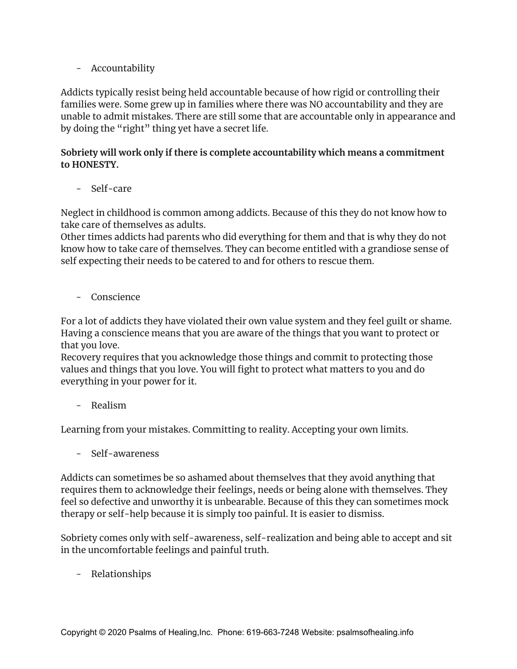- Accountability

Addicts typically resist being held accountable because of how rigid or controlling their families were. Some grew up in families where there was NO accountability and they are unable to admit mistakes. There are still some that are accountable only in appearance and by doing the "right" thing yet have a secret life.

#### **Sobriety will work only if there is complete accountability which means a commitment to HONESTY.**

- Self-care

Neglect in childhood is common among addicts. Because of this they do not know how to take care of themselves as adults.

Other times addicts had parents who did everything for them and that is why they do not know how to take care of themselves. They can become entitled with a grandiose sense of self expecting their needs to be catered to and for others to rescue them.

- Conscience

For a lot of addicts they have violated their own value system and they feel guilt or shame. Having a conscience means that you are aware of the things that you want to protect or that you love.

Recovery requires that you acknowledge those things and commit to protecting those values and things that you love. You will fight to protect what matters to you and do everything in your power for it.

- Realism

Learning from your mistakes. Committing to reality. Accepting your own limits.

- Self-awareness

Addicts can sometimes be so ashamed about themselves that they avoid anything that requires them to acknowledge their feelings, needs or being alone with themselves. They feel so defective and unworthy it is unbearable. Because of this they can sometimes mock therapy or self-help because it is simply too painful. It is easier to dismiss.

Sobriety comes only with self-awareness, self-realization and being able to accept and sit in the uncomfortable feelings and painful truth.

- Relationships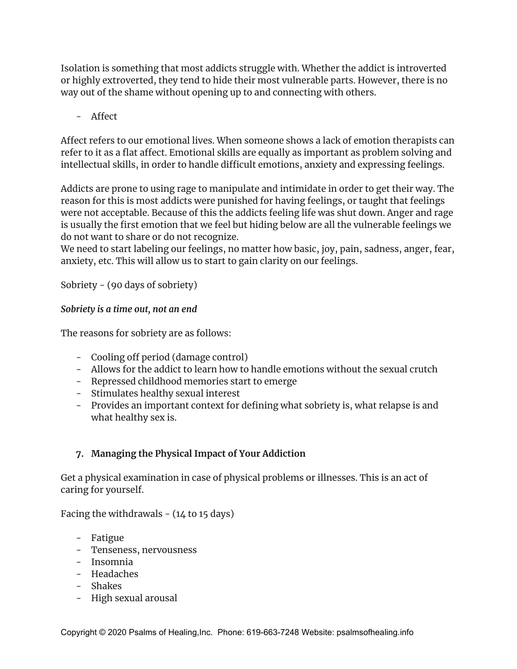Isolation is something that most addicts struggle with. Whether the addict is introverted or highly extroverted, they tend to hide their most vulnerable parts. However, there is no way out of the shame without opening up to and connecting with others.

- Affect

Affect refers to our emotional lives. When someone shows a lack of emotion therapists can refer to it as a flat affect. Emotional skills are equally as important as problem solving and intellectual skills, in order to handle difficult emotions, anxiety and expressing feelings.

Addicts are prone to using rage to manipulate and intimidate in order to get their way. The reason for this is most addicts were punished for having feelings, or taught that feelings were not acceptable. Because of this the addicts feeling life was shut down. Anger and rage is usually the first emotion that we feel but hiding below are all the vulnerable feelings we do not want to share or do not recognize.

We need to start labeling our feelings, no matter how basic, joy, pain, sadness, anger, fear, anxiety, etc. This will allow us to start to gain clarity on our feelings.

Sobriety - (90 days of sobriety)

## *Sobriety is a time out, not an end*

The reasons for sobriety are as follows:

- Cooling off period (damage control)
- Allows for the addict to learn how to handle emotions without the sexual crutch
- Repressed childhood memories start to emerge
- Stimulates healthy sexual interest
- Provides an important context for defining what sobriety is, what relapse is and what healthy sex is.

# **7. Managing the Physical Impact of Your Addiction**

Get a physical examination in case of physical problems or illnesses. This is an act of caring for yourself.

Facing the withdrawals  $-$  (14 to 15 days)

- Fatigue
- Tenseness, nervousness
- Insomnia
- Headaches
- Shakes
- High sexual arousal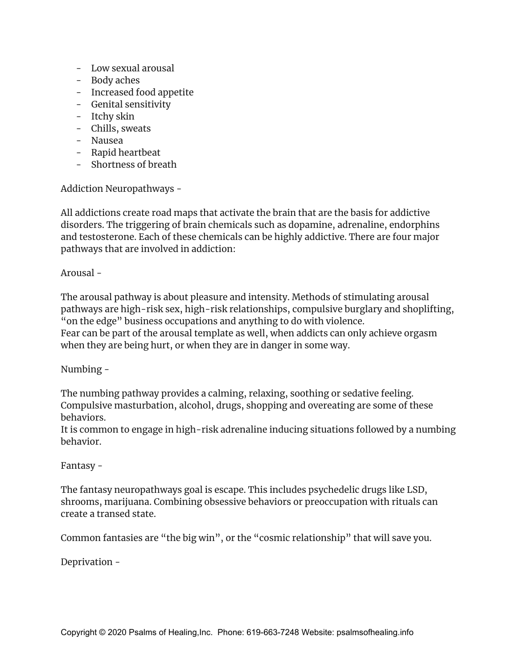- Low sexual arousal
- Body aches
- Increased food appetite
- Genital sensitivity
- Itchy skin
- Chills, sweats
- Nausea
- Rapid heartbeat
- Shortness of breath

Addiction Neuropathways -

All addictions create road maps that activate the brain that are the basis for addictive disorders. The triggering of brain chemicals such as dopamine, adrenaline, endorphins and testosterone. Each of these chemicals can be highly addictive. There are four major pathways that are involved in addiction:

Arousal -

The arousal pathway is about pleasure and intensity. Methods of stimulating arousal pathways are high-risk sex, high-risk relationships, compulsive burglary and shoplifting, "on the edge" business occupations and anything to do with violence. Fear can be part of the arousal template as well, when addicts can only achieve orgasm when they are being hurt, or when they are in danger in some way.

Numbing -

The numbing pathway provides a calming, relaxing, soothing or sedative feeling. Compulsive masturbation, alcohol, drugs, shopping and overeating are some of these behaviors.

It is common to engage in high-risk adrenaline inducing situations followed by a numbing behavior.

#### Fantasy -

The fantasy neuropathways goal is escape. This includes psychedelic drugs like LSD, shrooms, marijuana. Combining obsessive behaviors or preoccupation with rituals can create a transed state.

Common fantasies are "the big win", or the "cosmic relationship" that will save you.

Deprivation -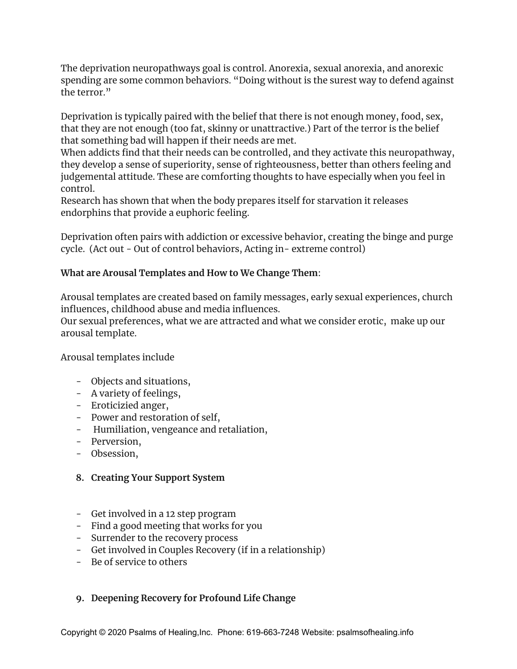The deprivation neuropathways goal is control. Anorexia, sexual anorexia, and anorexic spending are some common behaviors. "Doing without is the surest way to defend against the terror."

Deprivation is typically paired with the belief that there is not enough money, food, sex, that they are not enough (too fat, skinny or unattractive.) Part of the terror is the belief that something bad will happen if their needs are met.

When addicts find that their needs can be controlled, and they activate this neuropathway, they develop a sense of superiority, sense of righteousness, better than others feeling and judgemental attitude. These are comforting thoughts to have especially when you feel in control.

Research has shown that when the body prepares itself for starvation it releases endorphins that provide a euphoric feeling.

Deprivation often pairs with addiction or excessive behavior, creating the binge and purge cycle. (Act out - Out of control behaviors, Acting in- extreme control)

## **What are Arousal Templates and How to We Change Them**:

Arousal templates are created based on family messages, early sexual experiences, church influences, childhood abuse and media influences.

Our sexual preferences, what we are attracted and what we consider erotic, make up our arousal template.

#### Arousal templates include

- Objects and situations,
- A variety of feelings,
- Eroticizied anger,
- Power and restoration of self,
- Humiliation, vengeance and retaliation,
- Perversion,
- Obsession,

#### **8. Creating Your Support System**

- Get involved in a 12 step program
- Find a good meeting that works for you
- Surrender to the recovery process
- Get involved in Couples Recovery (if in a relationship)
- Be of service to others

#### **9. Deepening Recovery for Profound Life Change**